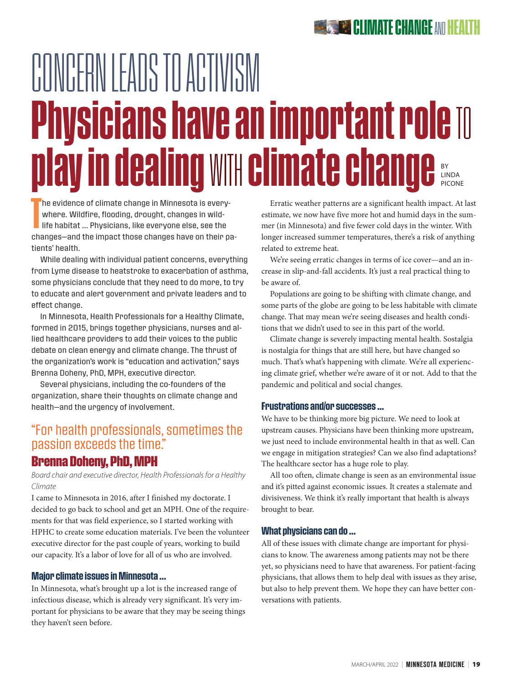# CONCERN LEADS TO ACTIVISM **Physicians have an important role TO** play in dealing WITH climate change BY LINDA PICONE

T he evidence of climate change in Minnesota is everywhere. Wildfire, flooding, drought, changes in wildlife habitat … Physicians, like everyone else, see the changes—and the impact those changes have on their patients' health.

While dealing with individual patient concerns, everything from Lyme disease to heatstroke to exacerbation of asthma, some physicians conclude that they need to do more, to try to educate and alert government and private leaders and to effect change.

In Minnesota, Health Professionals for a Healthy Climate, formed in 2015, brings together physicians, nurses and allied healthcare providers to add their voices to the public debate on clean energy and climate change. The thrust of the organization's work is "education and activation," says Brenna Doheny, PhD, MPH, executive director.

Several physicians, including the co-founders of the organization, share their thoughts on climate change and health—and the urgency of involvement.

## "For health professionals, sometimes the passion exceeds the time."

## Brenna Doheny, PhD, MPH

*Board chair and executive director, Health Professionals for a Healthy Climate*

I came to Minnesota in 2016, after I finished my doctorate. I decided to go back to school and get an MPH. One of the requirements for that was field experience, so I started working with HPHC to create some education materials. I've been the volunteer executive director for the past couple of years, working to build our capacity. It's a labor of love for all of us who are involved.

#### Major climate issues in Minnesota …

In Minnesota, what's brought up a lot is the increased range of infectious disease, which is already very significant. It's very important for physicians to be aware that they may be seeing things they haven't seen before.

Erratic weather patterns are a significant health impact. At last estimate, we now have five more hot and humid days in the summer (in Minnesota) and five fewer cold days in the winter. With longer increased summer temperatures, there's a risk of anything related to extreme heat.

We're seeing erratic changes in terms of ice cover—and an increase in slip-and-fall accidents. It's just a real practical thing to be aware of.

Populations are going to be shifting with climate change, and some parts of the globe are going to be less habitable with climate change. That may mean we're seeing diseases and health conditions that we didn't used to see in this part of the world.

Climate change is severely impacting mental health. Sostalgia is nostalgia for things that are still here, but have changed so much. That's what's happening with climate. We're all experiencing climate grief, whether we're aware of it or not. Add to that the pandemic and political and social changes.

#### Frustrations and/or successes …

We have to be thinking more big picture. We need to look at upstream causes. Physicians have been thinking more upstream, we just need to include environmental health in that as well. Can we engage in mitigation strategies? Can we also find adaptations? The healthcare sector has a huge role to play.

All too often, climate change is seen as an environmental issue and it's pitted against economic issues. It creates a stalemate and divisiveness. We think it's really important that health is always brought to bear.

#### What physicians can do …

All of these issues with climate change are important for physicians to know. The awareness among patients may not be there yet, so physicians need to have that awareness. For patient-facing physicians, that allows them to help deal with issues as they arise, but also to help prevent them. We hope they can have better conversations with patients.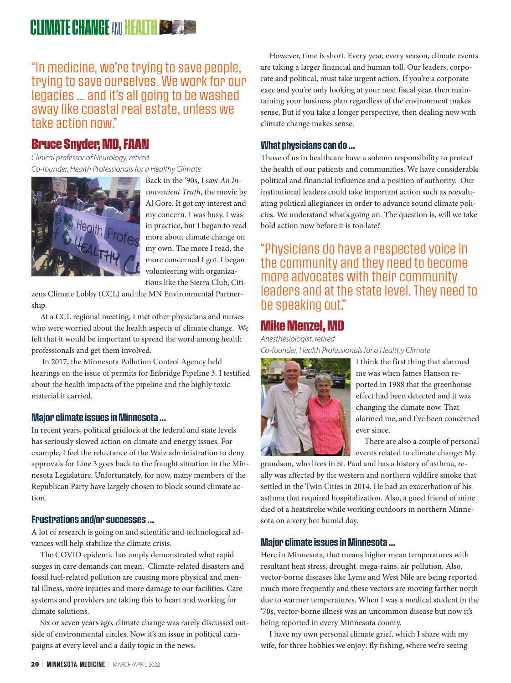## **CLIMATE CHANGE AND HEALTH BEAT**

"In medicine, we're trying to save people, trying to save ourselves. We work for our legacies … and it's all going to be washed away like coastal real estate, unless we take action now."

## Bruce Snyder, MD, FAAN

*Clinical professor of Neurology, retired Co-founder, Health Professionals for a Healthy Climate*



Back in the '90s, I saw *An Inconvenient Truth*, the movie by Al Gore. It got my interest and my concern. I was busy, I was in practice, but I began to read more about climate change on my own. The more I read, the more concerned I got. I began volunteering with organizations like the Sierra Club, Citi-

zens Climate Lobby (CCL) and the MN Environmental Partnership.

At a CCL regional meeting, I met other physicians and nurses who were worried about the health aspects of climate change. We felt that it would be important to spread the word among health professionals and get them involved.

 In 2017, the Minnesota Pollution Control Agency held hearings on the issue of permits for Enbridge Pipeline 3. I testified about the health impacts of the pipeline and the highly toxic material it carried.

#### Major climate issues in Minnesota …

In recent years, political gridlock at the federal and state levels has seriously slowed action on climate and energy issues. For example, I feel the reluctance of the Walz administration to deny approvals for Line 3 goes back to the fraught situation in the Minnesota Legislature. Unfortunately, for now, many members of the Republican Party have largely chosen to block sound climate action.

#### Frustrations and/or successes …

A lot of research is going on and scientific and technological advances will help stabilize the climate crisis.

The COVID epidemic has amply demonstrated what rapid surges in care demands can mean. Climate-related disasters and fossil fuel-related pollution are causing more physical and mental illness, more injuries and more damage to our facilities. Care systems and providers are taking this to heart and working for climate solutions.

Six or seven years ago, climate change was rarely discussed outside of environmental circles. Now it's an issue in political campaigns at every level and a daily topic in the news.

However, time is short. Every year, every season, climate events are taking a larger financial and human toll. Our leaders, corporate and political, must take urgent action. If you're a corporate exec and you're only looking at your next fiscal year, then maintaining your business plan regardless of the environment makes sense. But if you take a longer perspective, then dealing now with climate change makes sense.

#### What physicians can do …

Those of us in healthcare have a solemn responsibility to protect the health of our patients and communities. We have considerable political and financial influence and a position of authority. Our institutional leaders could take important action such as reevaluating political allegiances in order to advance sound climate policies. We understand what's going on. The question is, will we take bold action now before it is too late?

## "Physicians do have a respected voice in the community and they need to become more advocates with their community leaders and at the state level. They need to be speaking out."

## Mike Menzel, MD

*Anesthesiologist, retired Co-founder, Health Professionals for a Healthy Climate*



I think the first thing that alarmed me was when James Hanson reported in 1988 that the greenhouse effect had been detected and it was changing the climate now. That alarmed me, and I've been concerned ever since.

There are also a couple of personal events related to climate change: My

grandson, who lives in St. Paul and has a history of asthma, really was affected by the western and northern wildfire smoke that settled in the Twin Cities in 2014. He had an exacerbation of his asthma that required hospitalization. Also, a good friend of mine died of a heatstroke while working outdoors in northern Minnesota on a very hot humid day.

#### Major climate issues in Minnesota …

Here in Minnesota, that means higher mean temperatures with resultant heat stress, drought, mega-rains, air pollution. Also, vector-borne diseases like Lyme and West Nile are being reported much more frequently and these vectors are moving farther north due to warmer temperatures. When I was a medical student in the '70s, vector-borne illness was an uncommon disease but now it's being reported in every Minnesota county.

I have my own personal climate grief, which I share with my wife, for three hobbies we enjoy: fly fishing, where we're seeing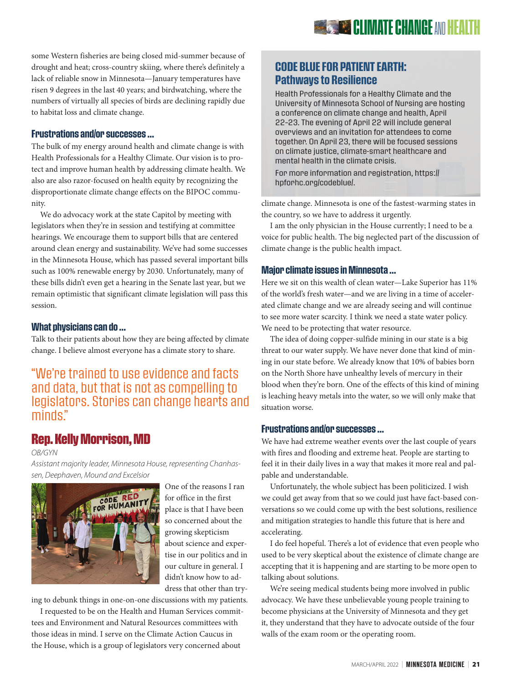some Western fisheries are being closed mid-summer because of drought and heat; cross-country skiing, where there's definitely a lack of reliable snow in Minnesota—January temperatures have risen 9 degrees in the last 40 years; and birdwatching, where the numbers of virtually all species of birds are declining rapidly due to habitat loss and climate change.

#### Frustrations and/or successes …

The bulk of my energy around health and climate change is with Health Professionals for a Healthy Climate. Our vision is to protect and improve human health by addressing climate health. We also are also razor-focused on health equity by recognizing the disproportionate climate change effects on the BIPOC community.

We do advocacy work at the state Capitol by meeting with legislators when they're in session and testifying at committee hearings. We encourage them to support bills that are centered around clean energy and sustainability. We've had some successes in the Minnesota House, which has passed several important bills such as 100% renewable energy by 2030. Unfortunately, many of these bills didn't even get a hearing in the Senate last year, but we remain optimistic that significant climate legislation will pass this session.

#### What physicians can do …

Talk to their patients about how they are being affected by climate change. I believe almost everyone has a climate story to share.

"We're trained to use evidence and facts and data, but that is not as compelling to legislators. Stories can change hearts and minds."

## Rep. Kelly Morrison, MD

*OB/GYN*

*Assistant majority leader, Minnesota House, representing Chanhassen, Deephaven, Mound and Excelsior*



One of the reasons I ran for office in the first place is that I have been so concerned about the growing skepticism about science and expertise in our politics and in our culture in general. I didn't know how to address that other than try-

ing to debunk things in one-on-one discussions with my patients.

I requested to be on the Health and Human Services committees and Environment and Natural Resources committees with those ideas in mind. I serve on the Climate Action Caucus in the House, which is a group of legislators very concerned about

### CODE BLUE FOR PATIENT EARTH: Pathways to Resilience

Health Professionals for a Healthy Climate and the University of Minnesota School of Nursing are hosting a conference on climate change and health, April 22–23. The evening of April 22 will include general overviews and an invitation for attendees to come together. On April 23, there will be focused sessions on climate justice, climate-smart healthcare and mental health in the climate crisis.

For more information and registration, https:// hpforhc.org/codeblue/.

climate change. Minnesota is one of the fastest-warming states in the country, so we have to address it urgently.

I am the only physician in the House currently; I need to be a voice for public health. The big neglected part of the discussion of climate change is the public health impact.

#### Major climate issues in Minnesota …

Here we sit on this wealth of clean water—Lake Superior has 11% of the world's fresh water—and we are living in a time of accelerated climate change and we are already seeing and will continue to see more water scarcity. I think we need a state water policy. We need to be protecting that water resource.

The idea of doing copper-sulfide mining in our state is a big threat to our water supply. We have never done that kind of mining in our state before. We already know that 10% of babies born on the North Shore have unhealthy levels of mercury in their blood when they're born. One of the effects of this kind of mining is leaching heavy metals into the water, so we will only make that situation worse.

#### Frustrations and/or successes …

We have had extreme weather events over the last couple of years with fires and flooding and extreme heat. People are starting to feel it in their daily lives in a way that makes it more real and palpable and understandable.

Unfortunately, the whole subject has been politicized. I wish we could get away from that so we could just have fact-based conversations so we could come up with the best solutions, resilience and mitigation strategies to handle this future that is here and accelerating.

I do feel hopeful. There's a lot of evidence that even people who used to be very skeptical about the existence of climate change are accepting that it is happening and are starting to be more open to talking about solutions.

We're seeing medical students being more involved in public advocacy. We have these unbelievable young people training to become physicians at the University of Minnesota and they get it, they understand that they have to advocate outside of the four walls of the exam room or the operating room.